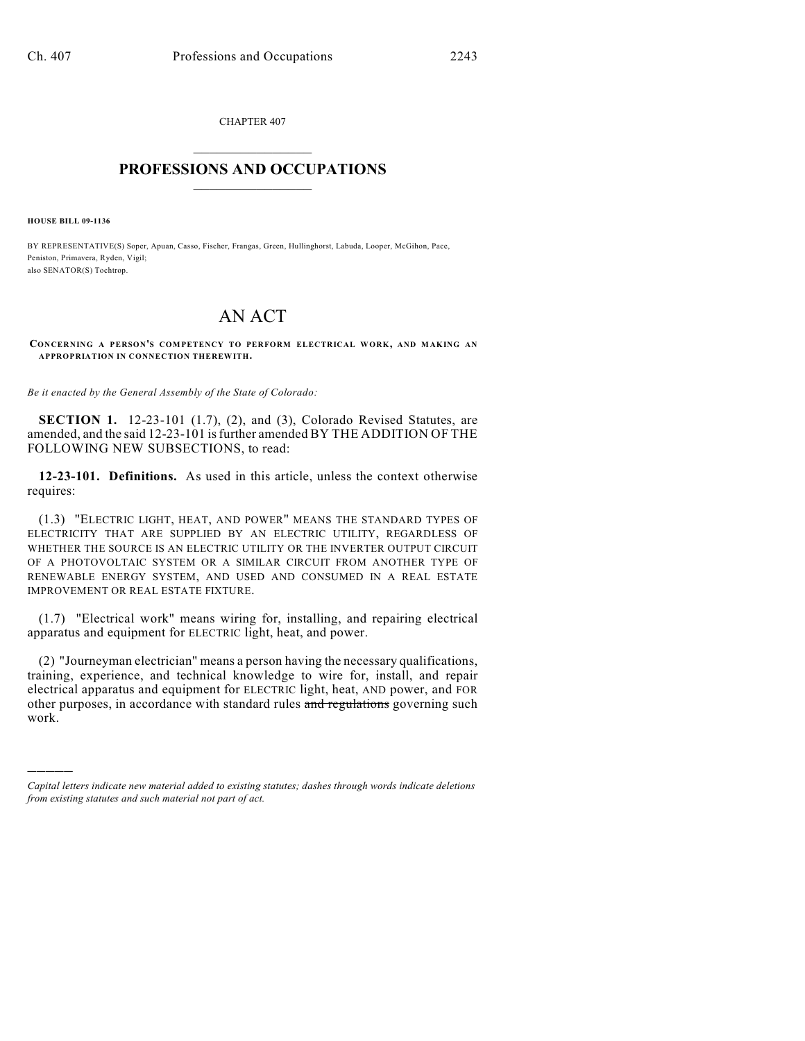CHAPTER 407  $\overline{\phantom{a}}$  . The set of the set of the set of the set of the set of the set of the set of the set of the set of the set of the set of the set of the set of the set of the set of the set of the set of the set of the set o

## **PROFESSIONS AND OCCUPATIONS**  $\frac{1}{2}$  ,  $\frac{1}{2}$  ,  $\frac{1}{2}$  ,  $\frac{1}{2}$  ,  $\frac{1}{2}$  ,  $\frac{1}{2}$

**HOUSE BILL 09-1136**

)))))

BY REPRESENTATIVE(S) Soper, Apuan, Casso, Fischer, Frangas, Green, Hullinghorst, Labuda, Looper, McGihon, Pace, Peniston, Primavera, Ryden, Vigil; also SENATOR(S) Tochtrop.

## AN ACT

**CONCERNING A PERSON'S COM PETENCY TO PERFORM ELECTRICAL WORK, AND MAKING AN APPROPRIATION IN CONNECTION THEREWITH.**

*Be it enacted by the General Assembly of the State of Colorado:*

**SECTION 1.** 12-23-101 (1.7), (2), and (3), Colorado Revised Statutes, are amended, and the said 12-23-101 isfurther amended BY THE ADDITION OF THE FOLLOWING NEW SUBSECTIONS, to read:

**12-23-101. Definitions.** As used in this article, unless the context otherwise requires:

(1.3) "ELECTRIC LIGHT, HEAT, AND POWER" MEANS THE STANDARD TYPES OF ELECTRICITY THAT ARE SUPPLIED BY AN ELECTRIC UTILITY, REGARDLESS OF WHETHER THE SOURCE IS AN ELECTRIC UTILITY OR THE INVERTER OUTPUT CIRCUIT OF A PHOTOVOLTAIC SYSTEM OR A SIMILAR CIRCUIT FROM ANOTHER TYPE OF RENEWABLE ENERGY SYSTEM, AND USED AND CONSUMED IN A REAL ESTATE IMPROVEMENT OR REAL ESTATE FIXTURE.

(1.7) "Electrical work" means wiring for, installing, and repairing electrical apparatus and equipment for ELECTRIC light, heat, and power.

(2) "Journeyman electrician" means a person having the necessary qualifications, training, experience, and technical knowledge to wire for, install, and repair electrical apparatus and equipment for ELECTRIC light, heat, AND power, and FOR other purposes, in accordance with standard rules and regulations governing such work.

*Capital letters indicate new material added to existing statutes; dashes through words indicate deletions from existing statutes and such material not part of act.*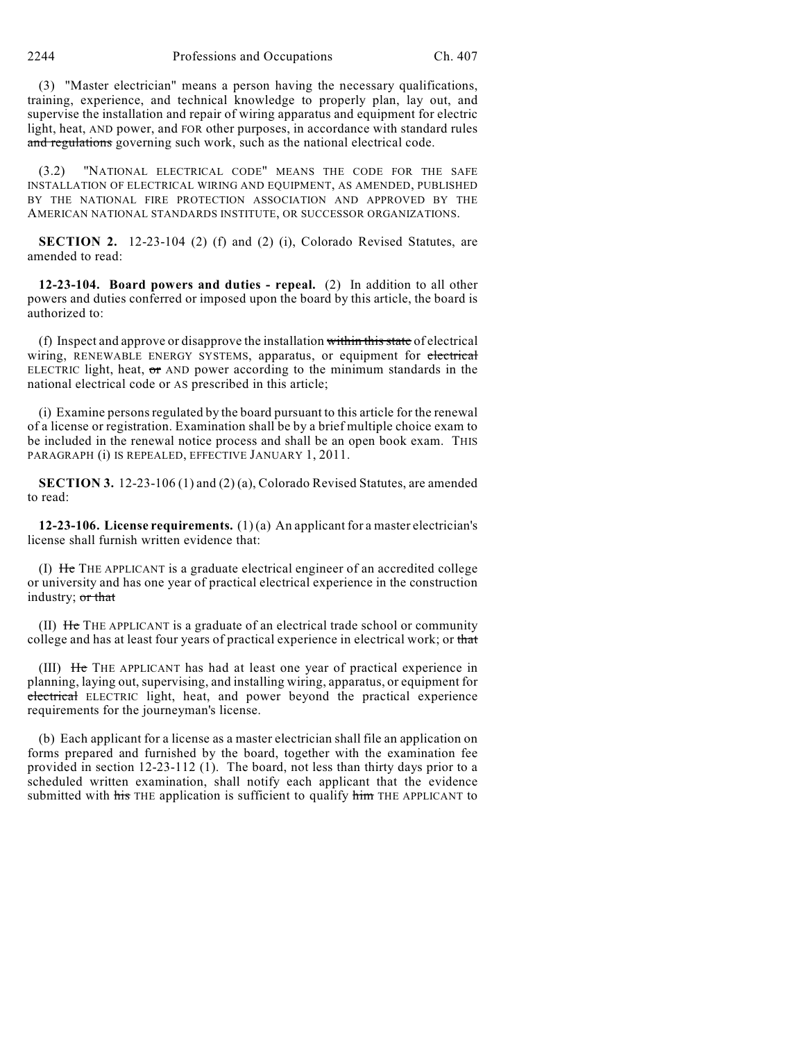2244 Professions and Occupations Ch. 407

(3) "Master electrician" means a person having the necessary qualifications, training, experience, and technical knowledge to properly plan, lay out, and supervise the installation and repair of wiring apparatus and equipment for electric light, heat, AND power, and FOR other purposes, in accordance with standard rules and regulations governing such work, such as the national electrical code.

(3.2) "NATIONAL ELECTRICAL CODE" MEANS THE CODE FOR THE SAFE INSTALLATION OF ELECTRICAL WIRING AND EQUIPMENT, AS AMENDED, PUBLISHED BY THE NATIONAL FIRE PROTECTION ASSOCIATION AND APPROVED BY THE AMERICAN NATIONAL STANDARDS INSTITUTE, OR SUCCESSOR ORGANIZATIONS.

**SECTION 2.** 12-23-104 (2) (f) and (2) (i), Colorado Revised Statutes, are amended to read:

**12-23-104. Board powers and duties - repeal.** (2) In addition to all other powers and duties conferred or imposed upon the board by this article, the board is authorized to:

(f) Inspect and approve or disapprove the installation within this state of electrical wiring, RENEWABLE ENERGY SYSTEMS, apparatus, or equipment for electrical ELECTRIC light, heat,  $\sigma$  and power according to the minimum standards in the national electrical code or AS prescribed in this article;

(i) Examine personsregulated by the board pursuant to this article for the renewal of a license or registration. Examination shall be by a brief multiple choice exam to be included in the renewal notice process and shall be an open book exam. THIS PARAGRAPH (i) IS REPEALED, EFFECTIVE JANUARY 1, 2011.

**SECTION 3.** 12-23-106 (1) and (2) (a), Colorado Revised Statutes, are amended to read:

**12-23-106. License requirements.** (1) (a) An applicant for a master electrician's license shall furnish written evidence that:

(I) He THE APPLICANT is a graduate electrical engineer of an accredited college or university and has one year of practical electrical experience in the construction industry; or that

(II) He THE APPLICANT is a graduate of an electrical trade school or community college and has at least four years of practical experience in electrical work; or that

(III) He THE APPLICANT has had at least one year of practical experience in planning, laying out, supervising, and installing wiring, apparatus, or equipment for electrical ELECTRIC light, heat, and power beyond the practical experience requirements for the journeyman's license.

(b) Each applicant for a license as a master electrician shall file an application on forms prepared and furnished by the board, together with the examination fee provided in section 12-23-112 (1). The board, not less than thirty days prior to a scheduled written examination, shall notify each applicant that the evidence submitted with his THE application is sufficient to qualify him THE APPLICANT to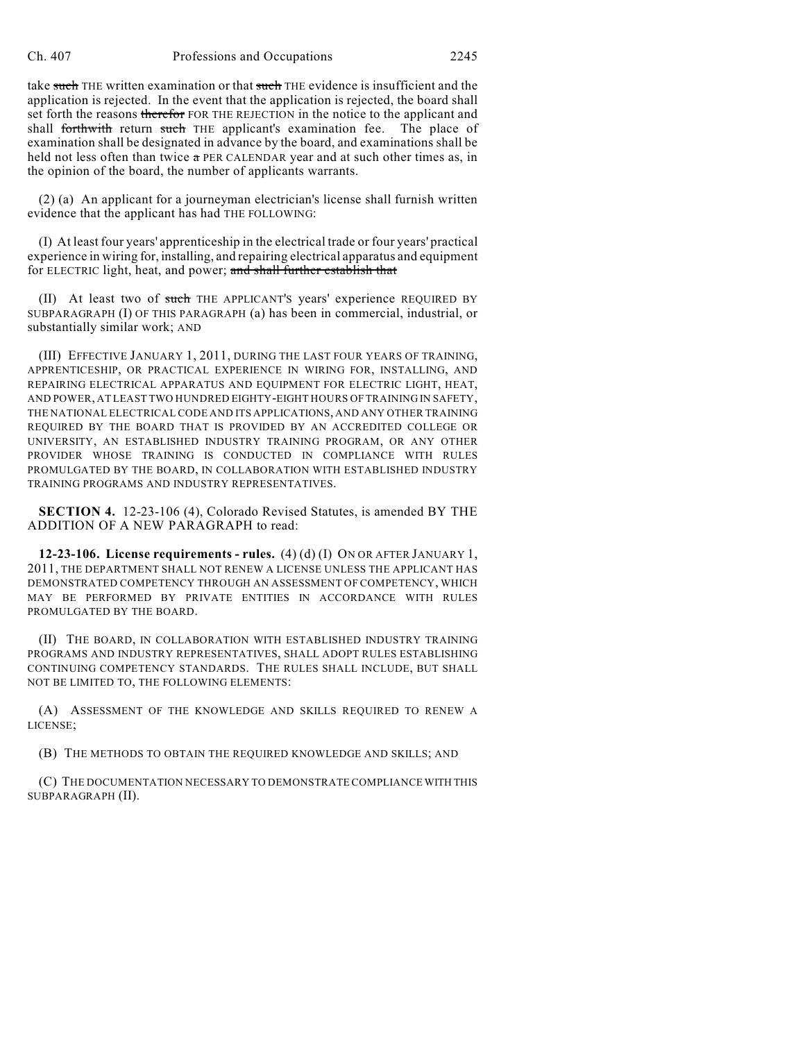take such THE written examination or that such THE evidence is insufficient and the application is rejected. In the event that the application is rejected, the board shall set forth the reasons therefor FOR THE REJECTION in the notice to the applicant and shall forthwith return such THE applicant's examination fee. The place of examination shall be designated in advance by the board, and examinations shall be held not less often than twice a PER CALENDAR year and at such other times as, in the opinion of the board, the number of applicants warrants.

(2) (a) An applicant for a journeyman electrician's license shall furnish written evidence that the applicant has had THE FOLLOWING:

(I) At least four years' apprenticeship in the electrical trade or four years' practical experience in wiring for, installing, and repairing electrical apparatus and equipment for ELECTRIC light, heat, and power; and shall further establish that

(II) At least two of such THE APPLICANT'S years' experience REQUIRED BY SUBPARAGRAPH (I) OF THIS PARAGRAPH (a) has been in commercial, industrial, or substantially similar work; AND

(III) EFFECTIVE JANUARY 1, 2011, DURING THE LAST FOUR YEARS OF TRAINING, APPRENTICESHIP, OR PRACTICAL EXPERIENCE IN WIRING FOR, INSTALLING, AND REPAIRING ELECTRICAL APPARATUS AND EQUIPMENT FOR ELECTRIC LIGHT, HEAT, AND POWER, AT LEAST TWO HUNDRED EIGHTY-EIGHT HOURS OF TRAINING IN SAFETY, THE NATIONAL ELECTRICAL CODE AND ITS APPLICATIONS, AND ANY OTHER TRAINING REQUIRED BY THE BOARD THAT IS PROVIDED BY AN ACCREDITED COLLEGE OR UNIVERSITY, AN ESTABLISHED INDUSTRY TRAINING PROGRAM, OR ANY OTHER PROVIDER WHOSE TRAINING IS CONDUCTED IN COMPLIANCE WITH RULES PROMULGATED BY THE BOARD, IN COLLABORATION WITH ESTABLISHED INDUSTRY TRAINING PROGRAMS AND INDUSTRY REPRESENTATIVES.

**SECTION 4.** 12-23-106 (4), Colorado Revised Statutes, is amended BY THE ADDITION OF A NEW PARAGRAPH to read:

**12-23-106. License requirements - rules.** (4) (d) (I) ON OR AFTER JANUARY 1, 2011, THE DEPARTMENT SHALL NOT RENEW A LICENSE UNLESS THE APPLICANT HAS DEMONSTRATED COMPETENCY THROUGH AN ASSESSMENT OF COMPETENCY, WHICH MAY BE PERFORMED BY PRIVATE ENTITIES IN ACCORDANCE WITH RULES PROMULGATED BY THE BOARD.

(II) THE BOARD, IN COLLABORATION WITH ESTABLISHED INDUSTRY TRAINING PROGRAMS AND INDUSTRY REPRESENTATIVES, SHALL ADOPT RULES ESTABLISHING CONTINUING COMPETENCY STANDARDS. THE RULES SHALL INCLUDE, BUT SHALL NOT BE LIMITED TO, THE FOLLOWING ELEMENTS:

(A) ASSESSMENT OF THE KNOWLEDGE AND SKILLS REQUIRED TO RENEW A LICENSE;

(B) THE METHODS TO OBTAIN THE REQUIRED KNOWLEDGE AND SKILLS; AND

(C) THE DOCUMENTATION NECESSARY TO DEMONSTRATE COMPLIANCE WITH THIS SUBPARAGRAPH (II).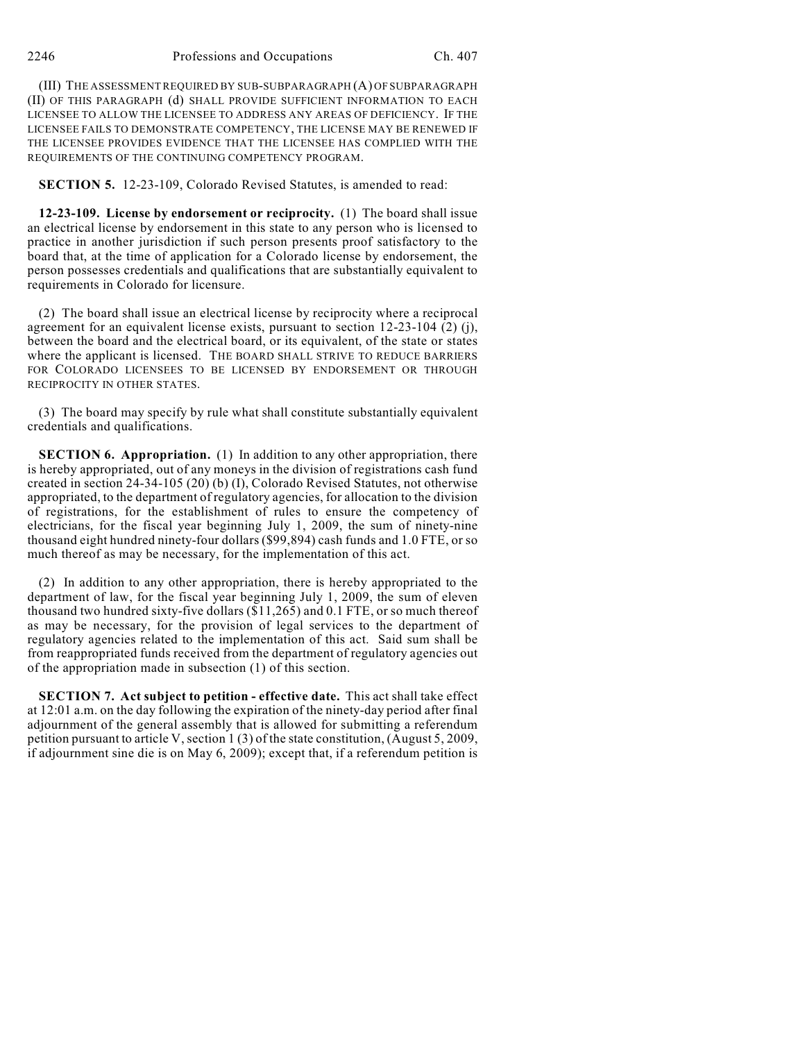(III) THE ASSESSMENTREQUIRED BY SUB-SUBPARAGRAPH (A) OF SUBPARAGRAPH (II) OF THIS PARAGRAPH (d) SHALL PROVIDE SUFFICIENT INFORMATION TO EACH LICENSEE TO ALLOW THE LICENSEE TO ADDRESS ANY AREAS OF DEFICIENCY. IF THE LICENSEE FAILS TO DEMONSTRATE COMPETENCY, THE LICENSE MAY BE RENEWED IF THE LICENSEE PROVIDES EVIDENCE THAT THE LICENSEE HAS COMPLIED WITH THE REQUIREMENTS OF THE CONTINUING COMPETENCY PROGRAM.

**SECTION 5.** 12-23-109, Colorado Revised Statutes, is amended to read:

**12-23-109. License by endorsement or reciprocity.** (1) The board shall issue an electrical license by endorsement in this state to any person who is licensed to practice in another jurisdiction if such person presents proof satisfactory to the board that, at the time of application for a Colorado license by endorsement, the person possesses credentials and qualifications that are substantially equivalent to requirements in Colorado for licensure.

(2) The board shall issue an electrical license by reciprocity where a reciprocal agreement for an equivalent license exists, pursuant to section 12-23-104 (2) (j), between the board and the electrical board, or its equivalent, of the state or states where the applicant is licensed. THE BOARD SHALL STRIVE TO REDUCE BARRIERS FOR COLORADO LICENSEES TO BE LICENSED BY ENDORSEMENT OR THROUGH RECIPROCITY IN OTHER STATES.

(3) The board may specify by rule what shall constitute substantially equivalent credentials and qualifications.

**SECTION 6. Appropriation.** (1) In addition to any other appropriation, there is hereby appropriated, out of any moneys in the division of registrations cash fund created in section 24-34-105 (20) (b) (I), Colorado Revised Statutes, not otherwise appropriated, to the department of regulatory agencies, for allocation to the division of registrations, for the establishment of rules to ensure the competency of electricians, for the fiscal year beginning July 1, 2009, the sum of ninety-nine thousand eight hundred ninety-four dollars (\$99,894) cash funds and 1.0 FTE, or so much thereof as may be necessary, for the implementation of this act.

(2) In addition to any other appropriation, there is hereby appropriated to the department of law, for the fiscal year beginning July 1, 2009, the sum of eleven thousand two hundred sixty-five dollars (\$11,265) and 0.1 FTE, or so much thereof as may be necessary, for the provision of legal services to the department of regulatory agencies related to the implementation of this act. Said sum shall be from reappropriated funds received from the department of regulatory agencies out of the appropriation made in subsection (1) of this section.

**SECTION 7. Act subject to petition - effective date.** This act shall take effect at 12:01 a.m. on the day following the expiration of the ninety-day period after final adjournment of the general assembly that is allowed for submitting a referendum petition pursuant to article V, section 1 (3) of the state constitution, (August 5, 2009, if adjournment sine die is on May 6, 2009); except that, if a referendum petition is